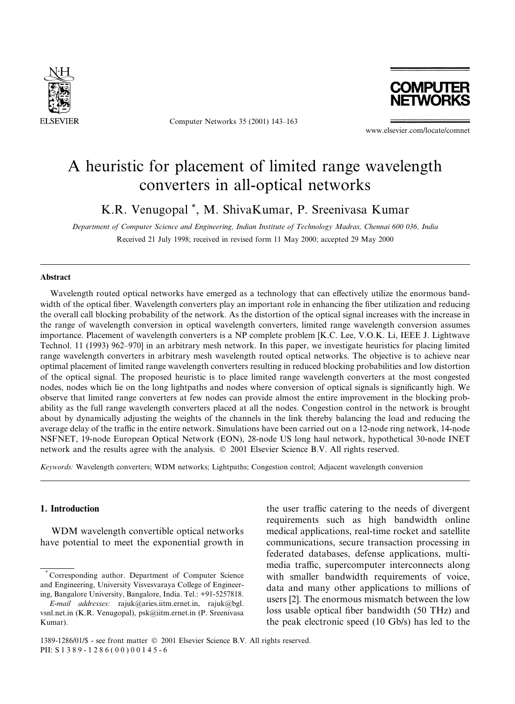

Computer Networks 35 (2001) 143-163



www.elsevier.com/locate/comnet

# A heuristic for placement of limited range wavelength converters in all-optical networks

K.R. Venugopal \*, M. ShivaKumar, P. Sreenivasa Kumar

Department of Computer Science and Engineering, Indian Institute of Technology Madras, Chennai 600 036, India Received 21 July 1998; received in revised form 11 May 2000; accepted 29 May 2000

### Abstract

Wavelength routed optical networks have emerged as a technology that can effectively utilize the enormous bandwidth of the optical fiber. Wavelength converters play an important role in enhancing the fiber utilization and reducing the overall call blocking probability of the network. As the distortion of the optical signal increases with the increase in the range of wavelength conversion in optical wavelength converters, limited range wavelength conversion assumes importance. Placement of wavelength converters is a NP complete problem [K.C. Lee, V.O.K. Li, IEEE J. Lightwave Technol. 11 (1993) 962-970] in an arbitrary mesh network. In this paper, we investigate heuristics for placing limited range wavelength converters in arbitrary mesh wavelength routed optical networks. The objective is to achieve near optimal placement of limited range wavelength converters resulting in reduced blocking probabilities and low distortion of the optical signal. The proposed heuristic is to place limited range wavelength converters at the most congested nodes, nodes which lie on the long lightpaths and nodes where conversion of optical signals is significantly high. We observe that limited range converters at few nodes can provide almost the entire improvement in the blocking probability as the full range wavelength converters placed at all the nodes. Congestion control in the network is brought about by dynamically adjusting the weights of the channels in the link thereby balancing the load and reducing the average delay of the traffic in the entire network. Simulations have been carried out on a 12-node ring network, 14-node NSFNET, 19-node European Optical Network (EON), 28-node US long haul network, hypothetical 30-node INET network and the results agree with the analysis.  $\odot$  2001 Elsevier Science B.V. All rights reserved.

Keywords: Wavelength converters; WDM networks; Lightpaths; Congestion control; Adjacent wavelength conversion

## 1. Introduction

WDM wavelength convertible optical networks have potential to meet the exponential growth in the user traffic catering to the needs of divergent requirements such as high bandwidth online medical applications, real-time rocket and satellite communications, secure transaction processing in federated databases, defense applications, multimedia traffic, supercomputer interconnects along with smaller bandwidth requirements of voice, data and many other applications to millions of users [2]. The enormous mismatch between the low loss usable optical fiber bandwidth (50 THz) and the peak electronic speed (10 Gb/s) has led to the

<sup>\*</sup> Corresponding author. Department of Computer Science and Engineering, University Visvesvaraya College of Engineering, Bangalore University, Bangalore, India. Tel.: +91-5257818.

E-mail addresses: rajuk@aries.iitm.ernet.in, rajuk@bgl. vsnl.net.in (K.R. Venugopal), psk@iitm.ernet.in (P. Sreenivasa Kumar).

<sup>1389-1286/01/\$ -</sup> see front matter © 2001 Elsevier Science B.V. All rights reserved. PII: S 1 3 8 9 - 1 2 8 6 ( 0 0 ) 0 0 1 4 5 - 6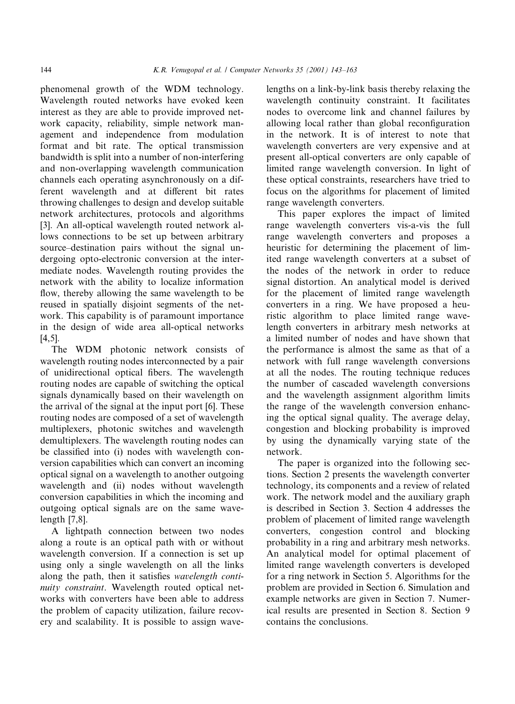phenomenal growth of the WDM technology. Wavelength routed networks have evoked keen interest as they are able to provide improved network capacity, reliability, simple network management and independence from modulation format and bit rate. The optical transmission bandwidth is split into a number of non-interfering and non-overlapping wavelength communication channels each operating asynchronously on a different wavelength and at different bit rates throwing challenges to design and develop suitable network architectures, protocols and algorithms [3]. An all-optical wavelength routed network allows connections to be set up between arbitrary source-destination pairs without the signal undergoing opto-electronic conversion at the intermediate nodes. Wavelength routing provides the network with the ability to localize information flow, thereby allowing the same wavelength to be reused in spatially disjoint segments of the network. This capability is of paramount importance in the design of wide area all-optical networks [4,5].

The WDM photonic network consists of wavelength routing nodes interconnected by a pair of unidirectional optical fibers. The wavelength routing nodes are capable of switching the optical signals dynamically based on their wavelength on the arrival of the signal at the input port [6]. These routing nodes are composed of a set of wavelength multiplexers, photonic switches and wavelength demultiplexers. The wavelength routing nodes can be classified into (i) nodes with wavelength conversion capabilities which can convert an incoming optical signal on a wavelength to another outgoing wavelength and (ii) nodes without wavelength conversion capabilities in which the incoming and outgoing optical signals are on the same wavelength [7,8].

A lightpath connection between two nodes along a route is an optical path with or without wavelength conversion. If a connection is set up using only a single wavelength on all the links along the path, then it satisfies wavelength continuity constraint. Wavelength routed optical networks with converters have been able to address the problem of capacity utilization, failure recovery and scalability. It is possible to assign wavelengths on a link-by-link basis thereby relaxing the wavelength continuity constraint. It facilitates nodes to overcome link and channel failures by allowing local rather than global reconfiguration in the network. It is of interest to note that wavelength converters are very expensive and at present all-optical converters are only capable of limited range wavelength conversion. In light of these optical constraints, researchers have tried to focus on the algorithms for placement of limited range wavelength converters.

This paper explores the impact of limited range wavelength converters vis-a-vis the full range wavelength converters and proposes a heuristic for determining the placement of limited range wavelength converters at a subset of the nodes of the network in order to reduce signal distortion. An analytical model is derived for the placement of limited range wavelength converters in a ring. We have proposed a heuristic algorithm to place limited range wavelength converters in arbitrary mesh networks at a limited number of nodes and have shown that the performance is almost the same as that of a network with full range wavelength conversions at all the nodes. The routing technique reduces the number of cascaded wavelength conversions and the wavelength assignment algorithm limits the range of the wavelength conversion enhancing the optical signal quality. The average delay, congestion and blocking probability is improved by using the dynamically varying state of the network.

The paper is organized into the following sections. Section 2 presents the wavelength converter technology, its components and a review of related work. The network model and the auxiliary graph is described in Section 3. Section 4 addresses the problem of placement of limited range wavelength converters, congestion control and blocking probability in a ring and arbitrary mesh networks. An analytical model for optimal placement of limited range wavelength converters is developed for a ring network in Section 5. Algorithms for the problem are provided in Section 6. Simulation and example networks are given in Section 7. Numerical results are presented in Section 8. Section 9 contains the conclusions.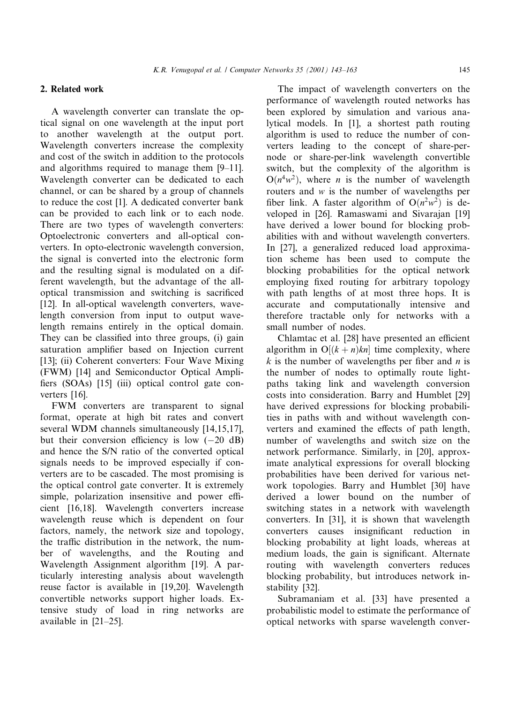#### 2. Related work

A wavelength converter can translate the optical signal on one wavelength at the input port to another wavelength at the output port. Wavelength converters increase the complexity and cost of the switch in addition to the protocols and algorithms required to manage them  $[9-11]$ . Wavelength converter can be dedicated to each channel, or can be shared by a group of channels to reduce the cost [1]. A dedicated converter bank can be provided to each link or to each node. There are two types of wavelength converters: Optoelectronic converters and all-optical converters. In opto-electronic wavelength conversion, the signal is converted into the electronic form and the resulting signal is modulated on a different wavelength, but the advantage of the alloptical transmission and switching is sacrificed [12]. In all-optical wavelength converters, wavelength conversion from input to output wavelength remains entirely in the optical domain. They can be classified into three groups, (i) gain saturation amplifier based on Injection current [13]; (ii) Coherent converters: Four Wave Mixing (FWM) [14] and Semiconductor Optical Ampli fiers  $(SOAs)$  [15] (iii) optical control gate converters [16].

FWM converters are transparent to signal format, operate at high bit rates and convert several WDM channels simultaneously [14,15,17], but their conversion efficiency is low  $(-20 \text{ dB})$ and hence the S/N ratio of the converted optical signals needs to be improved especially if converters are to be cascaded. The most promising is the optical control gate converter. It is extremely simple, polarization insensitive and power efficient [16,18]. Wavelength converters increase wavelength reuse which is dependent on four factors, namely, the network size and topology, the traffic distribution in the network, the number of wavelengths, and the Routing and Wavelength Assignment algorithm [19]. A particularly interesting analysis about wavelength reuse factor is available in [19,20]. Wavelength convertible networks support higher loads. Extensive study of load in ring networks are available in  $[21-25]$ .

The impact of wavelength converters on the performance of wavelength routed networks has been explored by simulation and various analytical models. In [1], a shortest path routing algorithm is used to reduce the number of converters leading to the concept of share-pernode or share-per-link wavelength convertible switch, but the complexity of the algorithm is  $O(n^4w^2)$ , where *n* is the number of wavelength routers and w is the number of wavelengths per fiber link. A faster algorithm of  $O(n^2w^2)$  is developed in [26]. Ramaswami and Sivarajan [19] have derived a lower bound for blocking probabilities with and without wavelength converters. In [27], a generalized reduced load approximation scheme has been used to compute the blocking probabilities for the optical network employing fixed routing for arbitrary topology with path lengths of at most three hops. It is accurate and computationally intensive and therefore tractable only for networks with a small number of nodes.

Chlamtac et al. [28] have presented an efficient algorithm in  $O[(k+n)kn]$  time complexity, where  $k$  is the number of wavelengths per fiber and  $n$  is the number of nodes to optimally route lightpaths taking link and wavelength conversion costs into consideration. Barry and Humblet [29] have derived expressions for blocking probabilities in paths with and without wavelength converters and examined the effects of path length, number of wavelengths and switch size on the network performance. Similarly, in [20], approximate analytical expressions for overall blocking probabilities have been derived for various network topologies. Barry and Humblet [30] have derived a lower bound on the number of switching states in a network with wavelength converters. In [31], it is shown that wavelength converters causes insignificant reduction in blocking probability at light loads, whereas at medium loads, the gain is significant. Alternate routing with wavelength converters reduces blocking probability, but introduces network instability [32].

Subramaniam et al. [33] have presented a probabilistic model to estimate the performance of optical networks with sparse wavelength conver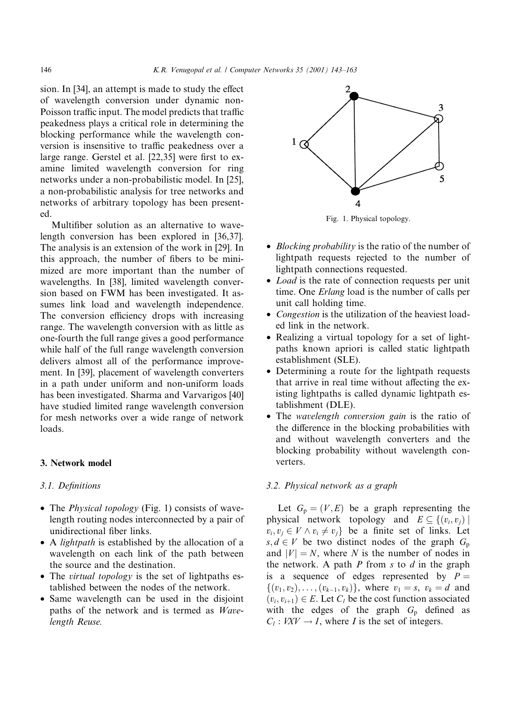sion. In [34], an attempt is made to study the effect of wavelength conversion under dynamic non-Poisson traffic input. The model predicts that traffic peakedness plays a critical role in determining the blocking performance while the wavelength conversion is insensitive to traffic peakedness over a large range. Gerstel et al.  $[22,35]$  were first to examine limited wavelength conversion for ring networks under a non-probabilistic model. In [25], a non-probabilistic analysis for tree networks and networks of arbitrary topology has been presented.

Multifiber solution as an alternative to wavelength conversion has been explored in [36,37]. The analysis is an extension of the work in [29]. In this approach, the number of fibers to be minimized are more important than the number of wavelengths. In [38], limited wavelength conversion based on FWM has been investigated. It assumes link load and wavelength independence. The conversion efficiency drops with increasing range. The wavelength conversion with as little as one-fourth the full range gives a good performance while half of the full range wavelength conversion delivers almost all of the performance improvement. In [39], placement of wavelength converters in a path under uniform and non-uniform loads has been investigated. Sharma and Varvarigos [40] have studied limited range wavelength conversion for mesh networks over a wide range of network loads.

#### 3. Network model

#### 3.1. Definitions

- The *Physical topology* (Fig. 1) consists of wavelength routing nodes interconnected by a pair of unidirectional fiber links.
- A *lightpath* is established by the allocation of a wavelength on each link of the path between the source and the destination.
- The *virtual topology* is the set of lightpaths established between the nodes of the network.
- Same wavelength can be used in the disjoint paths of the network and is termed as Wavelength Reuse.



Fig. 1. Physical topology.

- *Blocking probability* is the ratio of the number of lightpath requests rejected to the number of lightpath connections requested.
- *Load* is the rate of connection requests per unit time. One *Erlang* load is the number of calls per unit call holding time.
- *Congestion* is the utilization of the heaviest loaded link in the network.
- · Realizing a virtual topology for a set of lightpaths known apriori is called static lightpath establishment (SLE).
- · Determining a route for the lightpath requests that arrive in real time without affecting the existing lightpaths is called dynamic lightpath establishment (DLE).
- The *wavelength conversion gain* is the ratio of the difference in the blocking probabilities with and without wavelength converters and the blocking probability without wavelength converters.

#### 3.2. Physical network as a graph

Let  $G_p = (V, E)$  be a graph representing the physical network topology and  $E \subseteq \{(v_i, v_j) \mid$  $v_i, v_j \in V \wedge v_i \neq v_j$  be a finite set of links. Let  $s, d \in V$  be two distinct nodes of the graph  $G_p$ and  $|V| = N$ , where N is the number of nodes in the network. A path  $P$  from  $s$  to  $d$  in the graph is a sequence of edges represented by  $P =$  $\{(v_1, v_2), \ldots, (v_{k-1}, v_k)\}\$ , where  $v_1 = s, v_k = d$  and  $(v_i, v_{i+1}) \in E$ . Let  $C_l$  be the cost function associated with the edges of the graph  $G_p$  defined as  $C_l$ :  $VXY \rightarrow I$ , where I is the set of integers.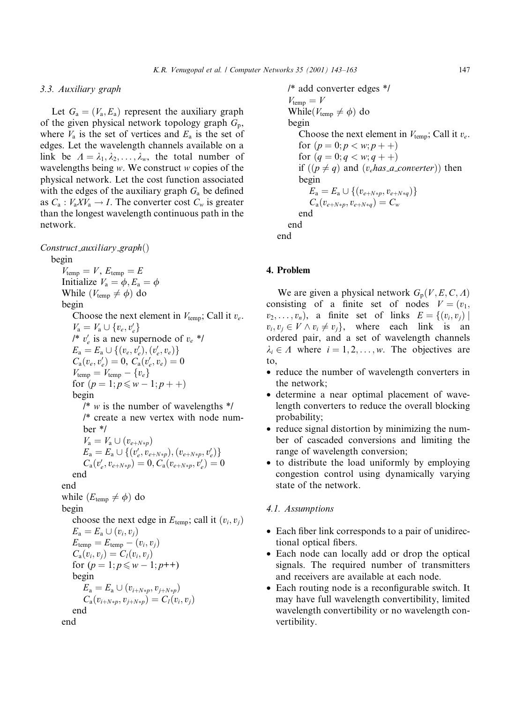## 3.3. Auxiliary graph

Let  $G_a = (V_a, E_a)$  represent the auxiliary graph of the given physical network topology graph  $G_p$ , where  $V_a$  is the set of vertices and  $E_a$  is the set of edges. Let the wavelength channels available on a link be  $A = \lambda_1, \lambda_2, \ldots, \lambda_w$ , the total number of wavelengths being  $w$ . We construct  $w$  copies of the physical network. Let the cost function associated with the edges of the auxiliary graph  $G_a$  be defined as  $C_a$ :  $V_a X V_a \rightarrow I$ . The converter cost  $C_w$  is greater than the longest wavelength continuous path in the network.

Construct\_auxiliary\_graph()

begin

 $V_{\text{temp}} = V$ ,  $E_{\text{temp}} = E$ Initialize  $V_a = \phi, E_a = \phi$ While  $(V_{temp} \neq \phi)$  do begin

Choose the next element in  $V_{temp}$ ; Call it  $v_e$ .  $V_{\rm a} = V_{\rm a} \cup \{v_e, v'_e\}$ /\*  $v'_e$  is a new supernode of  $v_e$  \*/  $E_{\rm a} = E_{\rm a} \cup \{(v_e, v'_e), (v'_e, v_e)\}$  $C_a(v_e, v'_e) = 0, C_a(v'_e, v_e) = 0$  $V_{\text{temp}} = V_{\text{temp}} - \{v_e\}$ for  $(p = 1; p \leq w - 1; p + +)$ begin /\*  $w$  is the number of wavelengths  $\frac{*}{ }$ /\* create a new vertex with node number \*/  $V_{\rm a} = V_{\rm a} \cup (v_{e+N*n})$  $E_{\rm a}=E_{\rm a}\cup\{(v'_e,v_{e+N*p}), (v_{e+N*p},v'_e)\}$  $C_{\rm a}({v_{e}'},v_{e+N*p})=0, C_{\rm a}({v_{e+N*p}},{v_{e}'})=0$ end end

while  $(E_{temp} \neq \phi)$  do begin

> choose the next edge in  $E_{temp}$ ; call it  $(v_i, v_j)$  $E_{\rm a} = E_{\rm a} \cup (v_i, v_j)$  $E_{temp} = E_{temp} - (v_i, v_j)$

$$
C_{\rm a}(v_i,v_j)=C_{\rm l}(v_i,v_j)
$$

for 
$$
(p = 1; p \leq w - 1; p++)
$$
  
begin

end

$$
\begin{array}{l} \displaystyle E_1\\ E_a=E_a\cup(v_{i+N*p},v_{j+N*p})\\ C_a(v_{i+N*p},v_{j+N*p})=C_l(v_i,v_j) \end{array}
$$

$$
\text{end} \quad \text{end}
$$

/\* add converter edges \*/  $V_{\text{temp}} = V$ While( $V_{temp} \neq \phi$ ) do begin Choose the next element in  $V_{\text{temp}}$ ; Call it  $v_e$ . for  $(p = 0; p < w; p + +)$ for  $(q = 0; q < w; q + 1)$ if  $((p \neq q)$  and  $(v_e$ has a converter)) then begin  $E_{\rm a} = E_{\rm a} \cup \{ (v_{e+N*p}, v_{e+N*q}) \}$  $C_a(v_{e+N*p}, v_{e+N*a}) = C_w$ end end end

## 4. Problem

We are given a physical network  $G_p(V, E, C, A)$ consisting of a finite set of nodes  $V = (v_1,$  $v_2, \ldots, v_n$ , a finite set of links  $E = \{(v_i, v_j) \mid$  $v_i, v_j \in V \wedge v_i \neq v_j$ , where each link is an ordered pair, and a set of wavelength channels  $\lambda_i \in \Lambda$  where  $i = 1, 2, \ldots, w$ . The objectives are to,

- · reduce the number of wavelength converters in the network;
- · determine a near optimal placement of wavelength converters to reduce the overall blocking probability;
- reduce signal distortion by minimizing the number of cascaded conversions and limiting the range of wavelength conversion;
- · to distribute the load uniformly by employing congestion control using dynamically varying state of the network.

#### 4.1. Assumptions

- Each fiber link corresponds to a pair of unidirectional optical fibers.
- · Each node can locally add or drop the optical signals. The required number of transmitters and receivers are available at each node.
- Each routing node is a reconfigurable switch. It may have full wavelength convertibility, limited wavelength convertibility or no wavelength convertibility.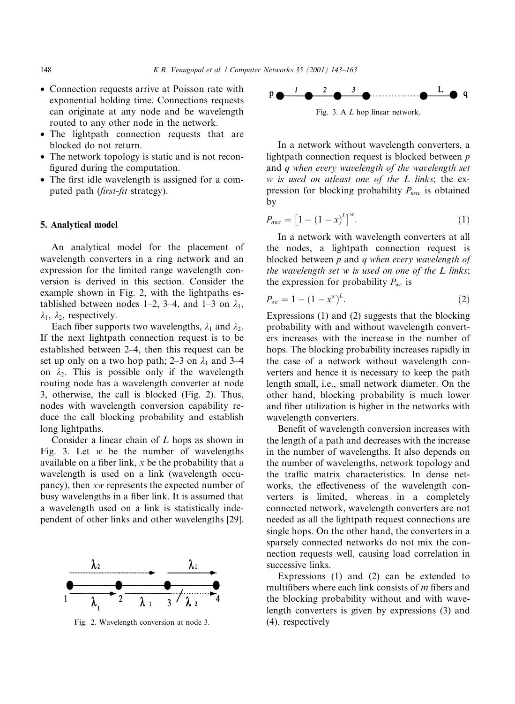- · Connection requests arrive at Poisson rate with exponential holding time. Connections requests can originate at any node and be wavelength routed to any other node in the network.
- The lightpath connection requests that are blocked do not return.
- The network topology is static and is not reconfigured during the computation.
- The first idle wavelength is assigned for a computed path (*first-fit* strategy).

#### 5. Analytical model

An analytical model for the placement of wavelength converters in a ring network and an expression for the limited range wavelength conversion is derived in this section. Consider the example shown in Fig. 2, with the lightpaths established between nodes 1–2, 3–4, and 1–3 on  $\lambda_1$ ,  $\lambda_1$ ,  $\lambda_2$ , respectively.

Each fiber supports two wavelengths,  $\lambda_1$  and  $\lambda_2$ . If the next lightpath connection request is to be established between 2–4, then this request can be set up only on a two hop path; 2–3 on  $\lambda_1$  and 3–4 on  $\lambda_2$ . This is possible only if the wavelength routing node has a wavelength converter at node 3, otherwise, the call is blocked (Fig. 2). Thus, nodes with wavelength conversion capability reduce the call blocking probability and establish long lightpaths.

Consider a linear chain of L hops as shown in Fig. 3. Let  $w$  be the number of wavelengths available on a fiber link,  $x$  be the probability that a wavelength is used on a link (wavelength occupancy), then xw represents the expected number of busy wavelengths in a fiber link. It is assumed that a wavelength used on a link is statistically independent of other links and other wavelengths [29].



Fig. 2. Wavelength conversion at node 3. (4), respectively



Fig. 3. A L hop linear network.

In a network without wavelength converters, a lightpath connection request is blocked between p and q when every wavelength of the wavelength set w is used on atleast one of the L links; the expression for blocking probability  $P_{nwc}$  is obtained by

$$
P_{\text{nwc}} = [1 - (1 - x)^L]^w.
$$
 (1)

In a network with wavelength converters at all the nodes, a lightpath connection request is blocked between  $p$  and  $q$  when every wavelength of the wavelength set  $w$  is used on one of the  $L$  links; the expression for probability  $P_{wc}$  is

$$
P_{wc} = 1 - (1 - x^w)^L.
$$
 (2)

Expressions (1) and (2) suggests that the blocking probability with and without wavelength converters increases with the increase in the number of hops. The blocking probability increases rapidly in the case of a network without wavelength converters and hence it is necessary to keep the path length small, i.e., small network diameter. On the other hand, blocking probability is much lower and fiber utilization is higher in the networks with wavelength converters.

Benefit of wavelength conversion increases with the length of a path and decreases with the increase in the number of wavelengths. It also depends on the number of wavelengths, network topology and the traffic matrix characteristics. In dense networks, the effectiveness of the wavelength converters is limited, whereas in a completely connected network, wavelength converters are not needed as all the lightpath request connections are single hops. On the other hand, the converters in a sparsely connected networks do not mix the connection requests well, causing load correlation in successive links.

Expressions (1) and (2) can be extended to multifibers where each link consists of  $m$  fibers and the blocking probability without and with wavelength converters is given by expressions (3) and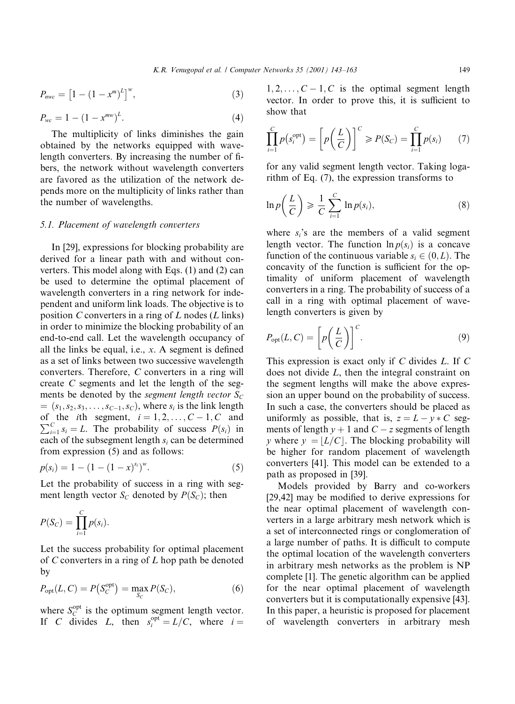$$
P_{\text{nwc}} = \left[1 - (1 - x^m)^L\right]^w, \tag{3}
$$

$$
P_{wc} = 1 - (1 - x^{mw})^L.
$$
 (4)

The multiplicity of links diminishes the gain obtained by the networks equipped with wavelength converters. By increasing the number of fibers, the network without wavelength converters are favored as the utilization of the network depends more on the multiplicity of links rather than the number of wavelengths.

#### 5.1. Placement of wavelength converters

In [29], expressions for blocking probability are derived for a linear path with and without converters. This model along with Eqs. (1) and (2) can be used to determine the optimal placement of wavelength converters in a ring network for independent and uniform link loads. The objective is to position C converters in a ring of  $L$  nodes  $(L \text{ links})$ in order to minimize the blocking probability of an end-to-end call. Let the wavelength occupancy of all the links be equal, i.e., x. A segment is defined as a set of links between two successive wavelength converters. Therefore, C converters in a ring will create C segments and let the length of the segments be denoted by the segment length vector  $S_C$  $s_1$ ;  $s_2$ ,  $s_3$ ,  $\ldots$ ,  $s_{C-1}$ ,  $s_C$ ), where  $s_i$  is the link length of the *i*th segment,  $i = 1, 2, \dots, C-1, C$  and  $\sum_{i=1}^{C} c_i = I$ . The make iiity of success  $P(c)$  in  $\sum_{i=1}^{C} s_i = L$ . The probability of success  $P(s_i)$  in each of the subsegment length  $s_i$  can be determined from expression (5) and as follows:

$$
p(s_i) = 1 - (1 - (1 - x)^{s_i})^w.
$$
 (5)

Let the probability of success in a ring with segment length vector  $S_C$  denoted by  $P(S_C)$ ; then

$$
P(S_C) = \prod_{i=1}^C p(s_i).
$$

Let the success probability for optimal placement of  $C$  converters in a ring of  $L$  hop path be denoted by

$$
P_{\rm opt}(L, C) = P(S_C^{\rm opt}) = \max_{S_C} P(S_C),\tag{6}
$$

where  $S_C^{\text{opt}}$  is the optimum segment length vector. If C divides L, then  $s_i^{\text{opt}} = L/C$ , where  $i =$   $1, 2, \ldots, C-1, C$  is the optimal segment length vector. In order to prove this, it is sufficient to show that

$$
\prod_{i=1}^{C} p(s_i^{\text{opt}}) = \left[ p\left(\frac{L}{C}\right) \right]^C \ge P(S_C) = \prod_{i=1}^{C} p(s_i) \tag{7}
$$

for any valid segment length vector. Taking logarithm of Eq. (7), the expression transforms to

$$
\ln p\left(\frac{L}{C}\right) \geqslant \frac{1}{C} \sum_{i=1}^{C} \ln p(s_i),\tag{8}
$$

where  $s_i$ 's are the members of a valid segment length vector. The function  $\ln p(s_i)$  is a concave function of the continuous variable  $s_i \in (0, L)$ . The concavity of the function is sufficient for the optimality of uniform placement of wavelength converters in a ring. The probability of success of a call in a ring with optimal placement of wavelength converters is given by

$$
P_{\rm opt}(L, C) = \left[ p \left( \frac{L}{C} \right) \right]^C.
$$
 (9)

This expression is exact only if  $C$  divides  $L$ . If  $C$ does not divide L, then the integral constraint on the segment lengths will make the above expression an upper bound on the probability of success. In such a case, the converters should be placed as uniformly as possible, that is,  $z = L - y \ast C$  segments of length  $y + 1$  and  $C - z$  segments of length y where  $y = L/C$ . The blocking probability will be higher for random placement of wavelength converters [41]. This model can be extended to a path as proposed in [39].

Models provided by Barry and co-workers  $[29,42]$  may be modified to derive expressions for the near optimal placement of wavelength converters in a large arbitrary mesh network which is a set of interconnected rings or conglomeration of a large number of paths. It is difficult to compute the optimal location of the wavelength converters in arbitrary mesh networks as the problem is NP complete [1]. The genetic algorithm can be applied for the near optimal placement of wavelength converters but it is computationally expensive [43]. In this paper, a heuristic is proposed for placement of wavelength converters in arbitrary mesh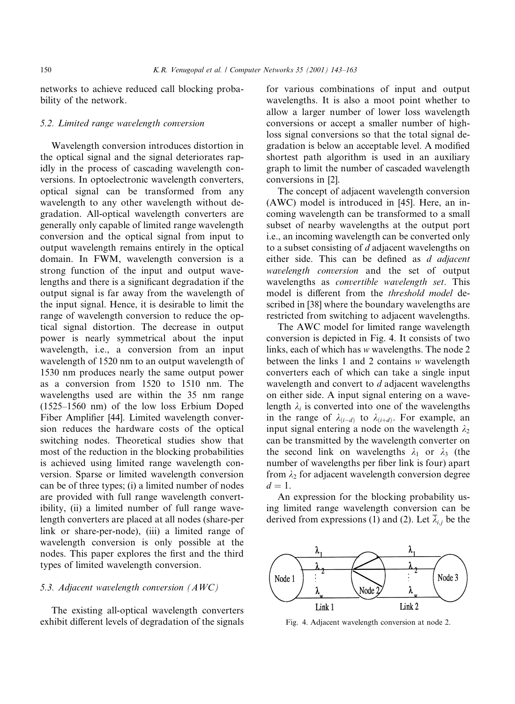networks to achieve reduced call blocking probability of the network.

## 5.2. Limited range wavelength conversion

Wavelength conversion introduces distortion in the optical signal and the signal deteriorates rapidly in the process of cascading wavelength conversions. In optoelectronic wavelength converters, optical signal can be transformed from any wavelength to any other wavelength without degradation. All-optical wavelength converters are generally only capable of limited range wavelength conversion and the optical signal from input to output wavelength remains entirely in the optical domain. In FWM, wavelength conversion is a strong function of the input and output wavelengths and there is a significant degradation if the output signal is far away from the wavelength of the input signal. Hence, it is desirable to limit the range of wavelength conversion to reduce the optical signal distortion. The decrease in output power is nearly symmetrical about the input wavelength, i.e., a conversion from an input wavelength of 1520 nm to an output wavelength of 1530 nm produces nearly the same output power as a conversion from 1520 to 1510 nm. The wavelengths used are within the 35 nm range  $(1525-1560)$  nm) of the low loss Erbium Doped Fiber Amplifier [44]. Limited wavelength conversion reduces the hardware costs of the optical switching nodes. Theoretical studies show that most of the reduction in the blocking probabilities is achieved using limited range wavelength conversion. Sparse or limited wavelength conversion can be of three types; (i) a limited number of nodes are provided with full range wavelength convertibility, (ii) a limited number of full range wavelength converters are placed at all nodes (share-per link or share-per-node), (iii) a limited range of wavelength conversion is only possible at the nodes. This paper explores the first and the third types of limited wavelength conversion.

## 5.3. Adjacent wavelength conversion  $(AWC)$

The existing all-optical wavelength converters exhibit different levels of degradation of the signals for various combinations of input and output wavelengths. It is also a moot point whether to allow a larger number of lower loss wavelength conversions or accept a smaller number of highloss signal conversions so that the total signal degradation is below an acceptable level. A modified shortest path algorithm is used in an auxiliary graph to limit the number of cascaded wavelength conversions in [2].

The concept of adjacent wavelength conversion (AWC) model is introduced in [45]. Here, an incoming wavelength can be transformed to a small subset of nearby wavelengths at the output port i.e., an incoming wavelength can be converted only to a subset consisting of  $d$  adjacent wavelengths on either side. This can be defined as  $d$  adjacent wavelength conversion and the set of output wavelengths as convertible wavelength set. This model is different from the threshold model described in [38] where the boundary wavelengths are restricted from switching to adjacent wavelengths.

The AWC model for limited range wavelength conversion is depicted in Fig. 4. It consists of two links, each of which has w wavelengths. The node 2 between the links 1 and 2 contains w wavelength converters each of which can take a single input wavelength and convert to  $d$  adjacent wavelengths on either side. A input signal entering on a wavelength  $\lambda_i$  is converted into one of the wavelengths in the range of  $\lambda_{(i-d)}$  to  $\lambda_{(i+d)}$ . For example, an input signal entering a node on the wavelength  $\lambda_2$ can be transmitted by the wavelength converter on the second link on wavelengths  $\lambda_1$  or  $\lambda_3$  (the number of wavelengths per fiber link is four) apart from  $\lambda_2$  for adjacent wavelength conversion degree  $d = 1$ .

An expression for the blocking probability using limited range wavelength conversion can be derived from expressions (1) and (2). Let  $\overline{\lambda}_{i,j}$  be the



Fig. 4. Adjacent wavelength conversion at node 2.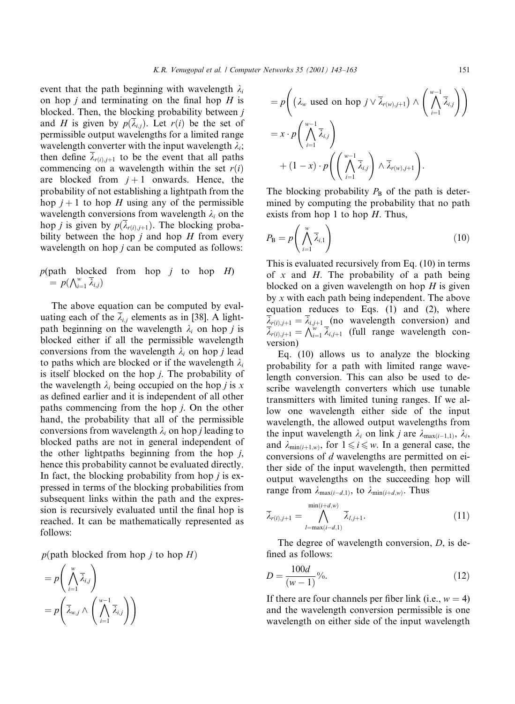event that the path beginning with wavelength  $\lambda_i$ on hop j and terminating on the final hop  $H$  is blocked. Then, the blocking probability between j and H is given by  $p(\overline{\lambda}_{i,j})$ . Let  $r(i)$  be the set of permissible output wavelengths for a limited range wavelength converter with the input wavelength  $\lambda_i$ ; then define  $\lambda_{r(i),j+1}$  to be the event that all paths commencing on a wavelength within the set  $r(i)$ are blocked from  $j+1$  onwards. Hence, the probability of not establishing a lightpath from the hop  $j + 1$  to hop H using any of the permissible wavelength conversions from wavelength  $\lambda_i$  on the hop *j* is given by  $p(\lambda_{r(i),j+1})$ . The blocking probability between the hop  $j$  and hop  $H$  from every wavelength on hop  $j$  can be computed as follows:

$$
p(\text{path blocked from hop } j \text{ to hop } H) = p(\bigwedge_{i=1}^{w} \overline{\lambda}_{i,j})
$$

The above equation can be computed by evaluating each of the  $\overline{\lambda}_{i,j}$  elements as in [38]. A lightpath beginning on the wavelength  $\lambda_i$  on hop j is blocked either if all the permissible wavelength conversions from the wavelength  $\lambda_i$  on hop j lead to paths which are blocked or if the wavelength  $\lambda_i$ is itself blocked on the hop  $j$ . The probability of the wavelength  $\lambda_i$  being occupied on the hop *j* is x as defined earlier and it is independent of all other paths commencing from the hop j. On the other hand, the probability that all of the permissible conversions from wavelength  $\lambda_i$  on hop *j* leading to blocked paths are not in general independent of the other lightpaths beginning from the hop  $i$ , hence this probability cannot be evaluated directly. In fact, the blocking probability from hop  *is ex*pressed in terms of the blocking probabilities from subsequent links within the path and the expression is recursively evaluated until the final hop is reached. It can be mathematically represented as follows:

 $p$ (path blocked from hop j to hop H)



$$
= p\left((\lambda_w \text{ used on hop } j \vee \overline{\lambda}_{r(w), j+1}) \wedge \left(\bigwedge_{i=1}^{w-1} \overline{\lambda}_{i,j}\right)\right)
$$
  

$$
= x \cdot p\left(\bigwedge_{i=1}^{w-1} \overline{\lambda}_{i,j}\right)
$$
  

$$
+ (1-x) \cdot p\left(\left(\bigwedge_{i=1}^{w-1} \overline{\lambda}_{i,j}\right) \wedge \overline{\lambda}_{r(w), j+1}\right).
$$

The blocking probability  $P_B$  of the path is determined by computing the probability that no path exists from hop 1 to hop  $H$ . Thus,

$$
P_{\mathbf{B}} = p\left(\bigwedge_{i=1}^{w} \overline{\lambda}_{i,1}\right) \tag{10}
$$

This is evaluated recursively from Eq. (10) in terms of x and H. The probability of a path being blocked on a given wavelength on hop  $H$  is given by x with each path being independent. The above equation reduces to Eqs. (1) and (2), where  $\overline{\lambda}_{r(i),j+1} = \overline{\lambda}_{i,j+1}$  (no wavelength conversion) and  $\overline{\lambda}_{r(i),j+1} = \bigwedge_{i=1}^{w} \overline{\lambda}_{i,j+1}$  (full range wavelength conversion)

Eq. (10) allows us to analyze the blocking probability for a path with limited range wavelength conversion. This can also be used to describe wavelength converters which use tunable transmitters with limited tuning ranges. If we allow one wavelength either side of the input wavelength, the allowed output wavelengths from the input wavelength  $\lambda_i$  on link j are  $\lambda_{\max(i-1,1)}$ ,  $\lambda_i$ , and  $\lambda_{\min(i+1,w)}$ , for  $1 \leq i \leq w$ . In a general case, the conversions of d wavelengths are permitted on either side of the input wavelength, then permitted output wavelengths on the succeeding hop will range from  $\lambda_{\max(i-d,1)}$ , to  $\lambda_{\min(i+d,w)}$ . Thus

$$
\overline{\lambda}_{r(i),j+1} = \bigwedge_{l=\max(i-d,1)}^{\min(i+d,w)} \overline{\lambda}_{l,j+1}.
$$
\n(11)

The degree of wavelength conversion, D, is de fined as follows:

$$
D = \frac{100d}{(w-1)}\%
$$
 (12)

If there are four channels per fiber link (i.e.,  $w = 4$ ) and the wavelength conversion permissible is one wavelength on either side of the input wavelength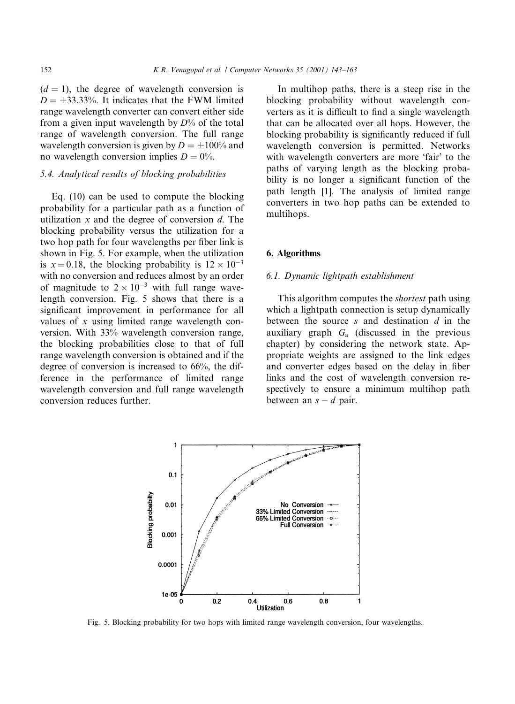$(d = 1)$ , the degree of wavelength conversion is  $D = \pm 33.33\%$ . It indicates that the FWM limited range wavelength converter can convert either side from a given input wavelength by  $D\%$  of the total range of wavelength conversion. The full range wavelength conversion is given by  $D = \pm 100\%$  and no wavelength conversion implies  $D = 0\%$ .

## 5.4. Analytical results of blocking probabilities

Eq. (10) can be used to compute the blocking probability for a particular path as a function of utilization  $x$  and the degree of conversion  $d$ . The blocking probability versus the utilization for a two hop path for four wavelengths per fiber link is shown in Fig. 5. For example, when the utilization is  $x = 0.18$ , the blocking probability is  $12 \times 10^{-3}$ with no conversion and reduces almost by an order of magnitude to  $2 \times 10^{-3}$  with full range wavelength conversion. Fig. 5 shows that there is a significant improvement in performance for all values of  $x$  using limited range wavelength conversion. With 33% wavelength conversion range, the blocking probabilities close to that of full range wavelength conversion is obtained and if the degree of conversion is increased to 66%, the difference in the performance of limited range wavelength conversion and full range wavelength conversion reduces further.

In multihop paths, there is a steep rise in the blocking probability without wavelength converters as it is difficult to find a single wavelength that can be allocated over all hops. However, the blocking probability is significantly reduced if full wavelength conversion is permitted. Networks with wavelength converters are more 'fair' to the paths of varying length as the blocking probability is no longer a significant function of the path length [1]. The analysis of limited range converters in two hop paths can be extended to multihops.

#### 6. Algorithms

#### 6.1. Dynamic lightpath establishment

This algorithm computes the *shortest* path using which a lightpath connection is setup dynamically between the source s and destination  $d$  in the auxiliary graph  $G_a$  (discussed in the previous chapter) by considering the network state. Appropriate weights are assigned to the link edges and converter edges based on the delay in fiber links and the cost of wavelength conversion respectively to ensure a minimum multihop path between an  $s - d$  pair.



Fig. 5. Blocking probability for two hops with limited range wavelength conversion, four wavelengths.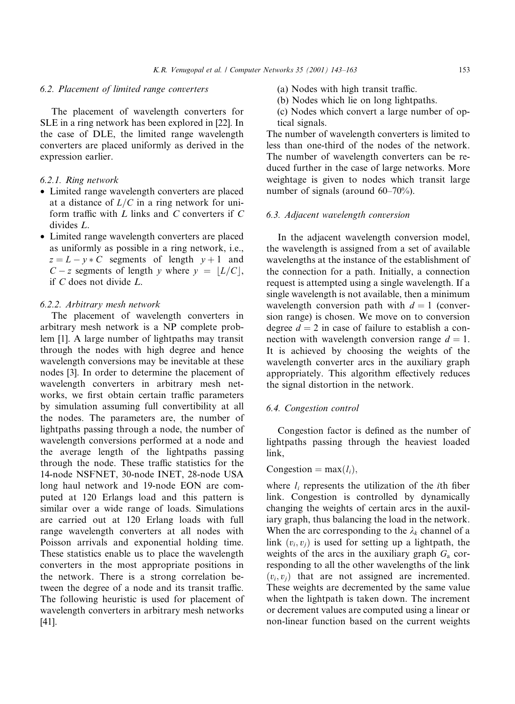## 6.2. Placement of limited range converters

The placement of wavelength converters for SLE in a ring network has been explored in [22]. In the case of DLE, the limited range wavelength converters are placed uniformly as derived in the expression earlier.

#### 6.2.1. Ring network

- Limited range wavelength converters are placed at a distance of  $L/C$  in a ring network for uniform traffic with  $L$  links and  $C$  converters if  $C$ divides L.
- · Limited range wavelength converters are placed as uniformly as possible in a ring network, i.e.,  $z = L - y * C$  segments of length  $y + 1$  and  $C - z$  segments of length y where  $y = |L/C|$ , if C does not divide L.

#### 6.2.2. Arbitrary mesh network

The placement of wavelength converters in arbitrary mesh network is a NP complete problem [1]. A large number of lightpaths may transit through the nodes with high degree and hence wavelength conversions may be inevitable at these nodes [3]. In order to determine the placement of wavelength converters in arbitrary mesh networks, we first obtain certain traffic parameters by simulation assuming full convertibility at all the nodes. The parameters are, the number of lightpaths passing through a node, the number of wavelength conversions performed at a node and the average length of the lightpaths passing through the node. These traffic statistics for the 14-node NSFNET, 30-node INET, 28-node USA long haul network and 19-node EON are computed at 120 Erlangs load and this pattern is similar over a wide range of loads. Simulations are carried out at 120 Erlang loads with full range wavelength converters at all nodes with Poisson arrivals and exponential holding time. These statistics enable us to place the wavelength converters in the most appropriate positions in the network. There is a strong correlation between the degree of a node and its transit traffic. The following heuristic is used for placement of wavelength converters in arbitrary mesh networks [41].

- (a) Nodes with high transit traffic.
- (b) Nodes which lie on long lightpaths.
- (c) Nodes which convert a large number of optical signals.

The number of wavelength converters is limited to less than one-third of the nodes of the network. The number of wavelength converters can be reduced further in the case of large networks. More weightage is given to nodes which transit large number of signals (around  $60-70%$ ).

#### 6.3. Adjacent wavelength conversion

In the adjacent wavelength conversion model, the wavelength is assigned from a set of available wavelengths at the instance of the establishment of the connection for a path. Initially, a connection request is attempted using a single wavelength. If a single wavelength is not available, then a minimum wavelength conversion path with  $d = 1$  (conversion range) is chosen. We move on to conversion degree  $d = 2$  in case of failure to establish a connection with wavelength conversion range  $d = 1$ . It is achieved by choosing the weights of the wavelength converter arcs in the auxiliary graph appropriately. This algorithm effectively reduces the signal distortion in the network.

#### 6.4. Congestion control

Congestion factor is defined as the number of lightpaths passing through the heaviest loaded link,

### Congestion =  $max(l_i)$ ,

where  $l_i$  represents the utilization of the *i*th fiber link. Congestion is controlled by dynamically changing the weights of certain arcs in the auxiliary graph, thus balancing the load in the network. When the arc corresponding to the  $\lambda_k$  channel of a link  $(v_i, v_j)$  is used for setting up a lightpath, the weights of the arcs in the auxiliary graph  $G<sub>a</sub>$  corresponding to all the other wavelengths of the link  $(v_i, v_j)$  that are not assigned are incremented. These weights are decremented by the same value when the lightpath is taken down. The increment or decrement values are computed using a linear or non-linear function based on the current weights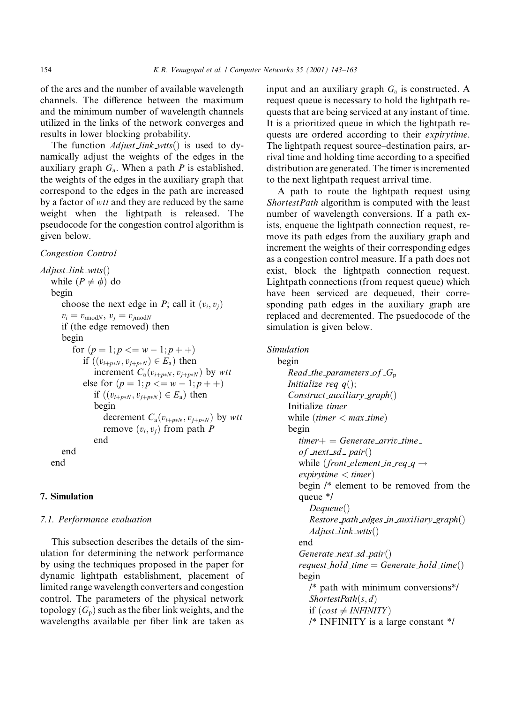of the arcs and the number of available wavelength channels. The difference between the maximum and the minimum number of wavelength channels utilized in the links of the network converges and results in lower blocking probability.

The function *Adjust link wtts*() is used to dynamically adjust the weights of the edges in the auxiliary graph  $G_a$ . When a path P is established, the weights of the edges in the auxiliary graph that correspond to the edges in the path are increased by a factor of wtt and they are reduced by the same weight when the lightpath is released. The pseudocode for the congestion control algorithm is given below.

## Congestion Control

 $Adjust\_link\_wits()$ while  $(P \neq \phi)$  do begin choose the next edge in P; call it  $(v_i, v_j)$  $v_i = v_{imodN}, v_i = v_{imodN}$ if (the edge removed) then begin for  $(p = 1; p \le w - 1; p + +)$ if  $(v_{i+p*N}, v_{j+p*N}) \in E_a$ ) then increment  $C_a(v_{i+p*N}, v_{j+p*N})$  by wtt else for  $(p = 1; p \le w - 1; p + 1)$ if  $(v_{i+p*N}, v_{j+p*N}) \in E_a$ ) then begin decrement  $C_a(v_{i+p*N}, v_{j+p*N})$  by wtt remove  $(v_i, v_j)$  from path P end end end

## 7. Simulation

## 7.1. Performance evaluation

This subsection describes the details of the simulation for determining the network performance by using the techniques proposed in the paper for dynamic lightpath establishment, placement of limited range wavelength converters and congestion control. The parameters of the physical network topology  $(G_p)$  such as the fiber link weights, and the wavelengths available per fiber link are taken as

input and an auxiliary graph  $G_a$  is constructed. A request queue is necessary to hold the lightpath requests that are being serviced at any instant of time. It is a prioritized queue in which the lightpath requests are ordered according to their expirytime. The lightpath request source-destination pairs, arrival time and holding time according to a specified distribution are generated. The timer is incremented to the next lightpath request arrival time.

A path to route the lightpath request using ShortestPath algorithm is computed with the least number of wavelength conversions. If a path exists, enqueue the lightpath connection request, remove its path edges from the auxiliary graph and increment the weights of their corresponding edges as a congestion control measure. If a path does not exist, block the lightpath connection request. Lightpath connections (from request queue) which have been serviced are dequeued, their corresponding path edges in the auxiliary graph are replaced and decremented. The psuedocode of the simulation is given below.

## Simulation begin Read the parameters of  $G_p$ *Initialize req q()*; Construct\_auxiliary\_graph() Initialize timer while  $(time < max_time)$ begin  $timer += Generate\_arriv_time$  $of$  next sd pair() while (front element in req q  $\rightarrow$  $expirytime < timer$ ) begin /\* element to be removed from the queue \*/ Dequeue()  $Restore$ -path\_edges\_in\_auxiliary\_graph()  $Adjust$  link wtts() end Generate next sd  $pair()$ request hold time  $=$  Generate hold time() begin /\* path with minimum conversions\*/  $ShortestPath(s, d)$ if  $(cost \neq \text{INFINITY})$ /\* INFINITY is a large constant \*/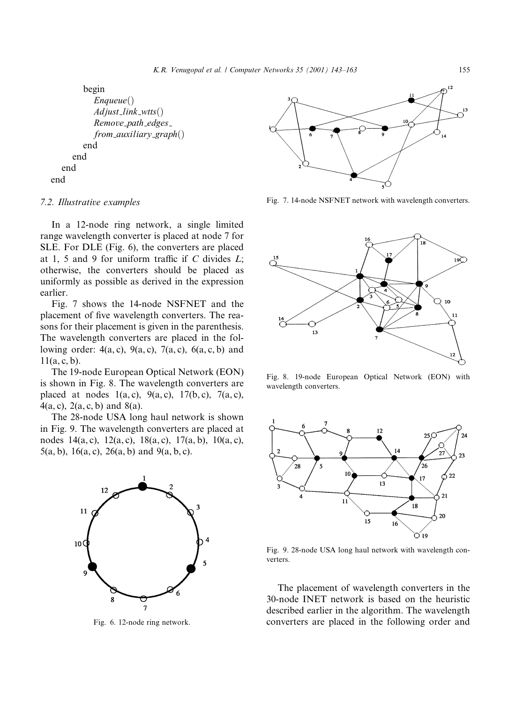```
begin
          Enqueue()Adjust link wtts()
          Remove path edges
          from_auxiliary_graph()
       end
     end
  end
end
```
#### 7.2. Illustrative examples

In a 12-node ring network, a single limited range wavelength converter is placed at node 7 for SLE. For DLE (Fig. 6), the converters are placed at 1, 5 and 9 for uniform traffic if  $C$  divides  $L$ ; otherwise, the converters should be placed as uniformly as possible as derived in the expression earlier.

Fig. 7 shows the 14-node NSFNET and the placement of five wavelength converters. The reasons for their placement is given in the parenthesis. The wavelength converters are placed in the following order: 4(a, c), 9(a, c), 7(a, c), 6(a, c, b) and  $11(a, c, b)$ .

The 19-node European Optical Network (EON) is shown in Fig. 8. The wavelength converters are placed at nodes  $1(a, c)$ ,  $9(a, c)$ ,  $17(b, c)$ ,  $7(a, c)$ ,  $4(a, c), 2(a, c, b)$  and  $8(a)$ .

The 28-node USA long haul network is shown in Fig. 9. The wavelength converters are placed at nodes 14(a, c), 12(a, c), 18(a, c), 17(a, b), 10(a, c), 5(a, b), 16(a, c), 26(a, b) and 9(a, b, c).





Fig. 7. 14-node NSFNET network with wavelength converters.



Fig. 8. 19-node European Optical Network (EON) with wavelength converters.



Fig. 9. 28-node USA long haul network with wavelength converters.

The placement of wavelength converters in the 30-node INET network is based on the heuristic described earlier in the algorithm. The wavelength Fig. 6. 12-node ring network. converters are placed in the following order and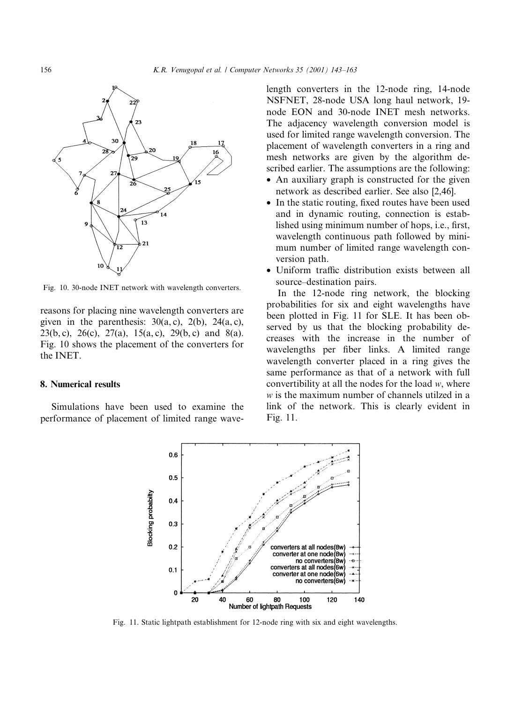

Fig. 10. 30-node INET network with wavelength converters.

reasons for placing nine wavelength converters are given in the parenthesis:  $30(a, c)$ ,  $2(b)$ ,  $24(a, c)$ , 23(b, c), 26(c), 27(a), 15(a, c), 29(b, c) and 8(a). Fig. 10 shows the placement of the converters for the INET.

#### 8. Numerical results

Simulations have been used to examine the performance of placement of limited range wavelength converters in the 12-node ring, 14-node NSFNET, 28-node USA long haul network, 19 node EON and 30-node INET mesh networks. The adjacency wavelength conversion model is used for limited range wavelength conversion. The placement of wavelength converters in a ring and mesh networks are given by the algorithm described earlier. The assumptions are the following:

- An auxiliary graph is constructed for the given network as described earlier. See also [2,46].
- In the static routing, fixed routes have been used and in dynamic routing, connection is established using minimum number of hops, i.e., first, wavelength continuous path followed by minimum number of limited range wavelength conversion path.
- Uniform traffic distribution exists between all source-destination pairs.

In the 12-node ring network, the blocking probabilities for six and eight wavelengths have been plotted in Fig. 11 for SLE. It has been observed by us that the blocking probability decreases with the increase in the number of wavelengths per fiber links. A limited range wavelength converter placed in a ring gives the same performance as that of a network with full convertibility at all the nodes for the load w, where w is the maximum number of channels utilzed in a link of the network. This is clearly evident in Fig. 11.



Fig. 11. Static lightpath establishment for 12-node ring with six and eight wavelengths.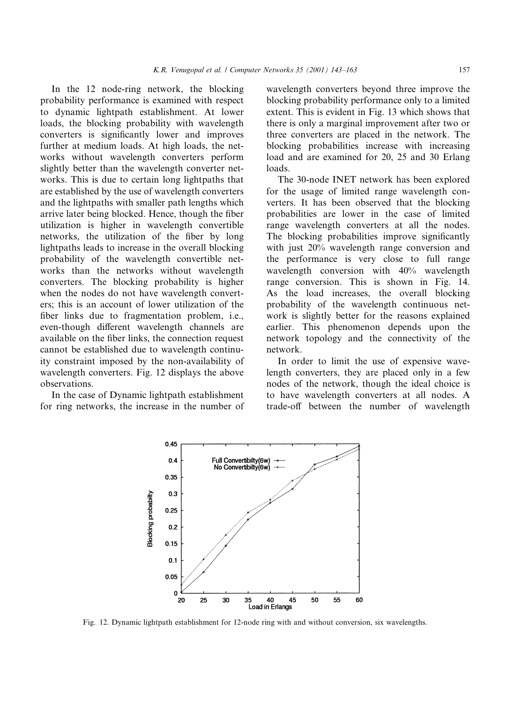In the 12 node-ring network, the blocking probability performance is examined with respect to dynamic lightpath establishment. At lower loads, the blocking probability with wavelength converters is significantly lower and improves further at medium loads. At high loads, the networks without wavelength converters perform slightly better than the wavelength converter networks. This is due to certain long lightpaths that are established by the use of wavelength converters and the lightpaths with smaller path lengths which arrive later being blocked. Hence, though the fiber utilization is higher in wavelength convertible networks, the utilization of the fiber by long lightpaths leads to increase in the overall blocking probability of the wavelength convertible networks than the networks without wavelength converters. The blocking probability is higher when the nodes do not have wavelength converters; this is an account of lower utilization of the fiber links due to fragmentation problem, i.e., even-though different wavelength channels are available on the fiber links, the connection request cannot be established due to wavelength continuity constraint imposed by the non-availability of wavelength converters. Fig. 12 displays the above observations.

In the case of Dynamic lightpath establishment for ring networks, the increase in the number of wavelength converters beyond three improve the blocking probability performance only to a limited extent. This is evident in Fig. 13 which shows that there is only a marginal improvement after two or three converters are placed in the network. The blocking probabilities increase with increasing load and are examined for 20, 25 and 30 Erlang loads.

The 30-node INET network has been explored for the usage of limited range wavelength converters. It has been observed that the blocking probabilities are lower in the case of limited range wavelength converters at all the nodes. The blocking probabilities improve significantly with just 20% wavelength range conversion and the performance is very close to full range wavelength conversion with 40% wavelength range conversion. This is shown in Fig. 14. As the load increases, the overall blocking probability of the wavelength continuous network is slightly better for the reasons explained earlier. This phenomenon depends upon the network topology and the connectivity of the network.

In order to limit the use of expensive wavelength converters, they are placed only in a few nodes of the network, though the ideal choice is to have wavelength converters at all nodes. A trade-off between the number of wavelength



Fig. 12. Dynamic lightpath establishment for 12-node ring with and without conversion, six wavelengths.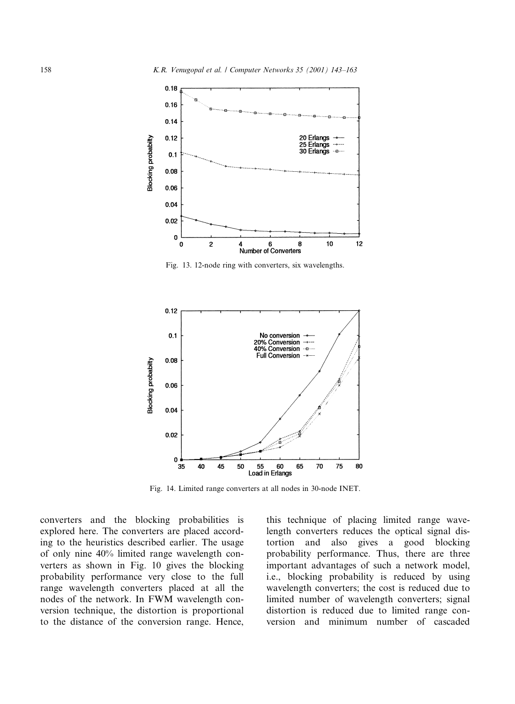

Fig. 13. 12-node ring with converters, six wavelengths.



Fig. 14. Limited range converters at all nodes in 30-node INET.

converters and the blocking probabilities is explored here. The converters are placed according to the heuristics described earlier. The usage of only nine 40% limited range wavelength converters as shown in Fig. 10 gives the blocking probability performance very close to the full range wavelength converters placed at all the nodes of the network. In FWM wavelength conversion technique, the distortion is proportional to the distance of the conversion range. Hence,

this technique of placing limited range wavelength converters reduces the optical signal distortion and also gives a good blocking probability performance. Thus, there are three important advantages of such a network model, i.e., blocking probability is reduced by using wavelength converters; the cost is reduced due to limited number of wavelength converters; signal distortion is reduced due to limited range conversion and minimum number of cascaded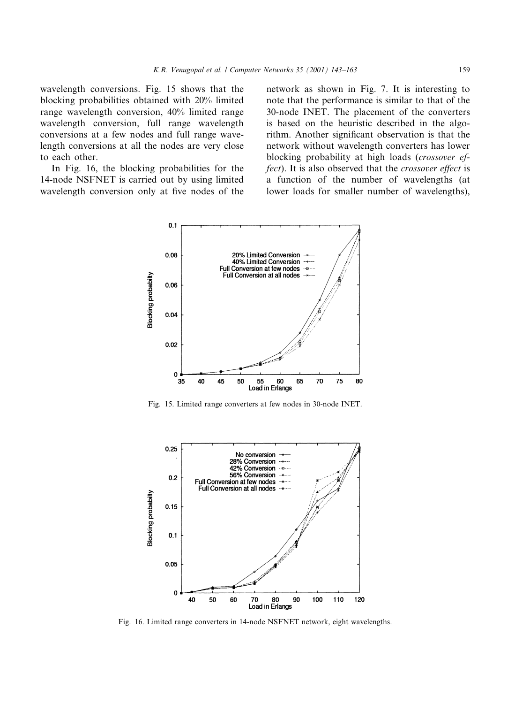wavelength conversions. Fig. 15 shows that the blocking probabilities obtained with 20% limited range wavelength conversion, 40% limited range wavelength conversion, full range wavelength conversions at a few nodes and full range wavelength conversions at all the nodes are very close to each other.

In Fig. 16, the blocking probabilities for the 14-node NSFNET is carried out by using limited wavelength conversion only at five nodes of the

network as shown in Fig. 7. It is interesting to note that the performance is similar to that of the 30-node INET. The placement of the converters is based on the heuristic described in the algorithm. Another significant observation is that the network without wavelength converters has lower blocking probability at high loads (crossover effect). It is also observed that the *crossover effect* is a function of the number of wavelengths (at lower loads for smaller number of wavelengths),



Fig. 15. Limited range converters at few nodes in 30-node INET.



Fig. 16. Limited range converters in 14-node NSFNET network, eight wavelengths.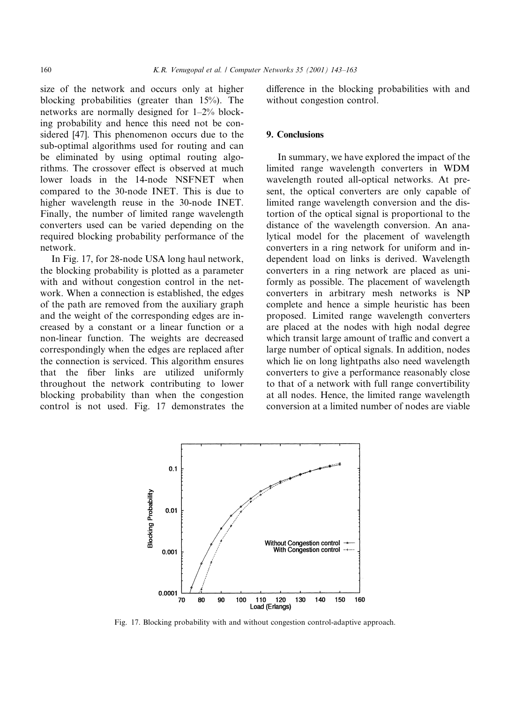size of the network and occurs only at higher blocking probabilities (greater than 15%). The networks are normally designed for  $1-2\%$  blocking probability and hence this need not be considered [47]. This phenomenon occurs due to the sub-optimal algorithms used for routing and can be eliminated by using optimal routing algorithms. The crossover effect is observed at much lower loads in the 14-node NSFNET when compared to the 30-node INET. This is due to higher wavelength reuse in the 30-node INET. Finally, the number of limited range wavelength converters used can be varied depending on the required blocking probability performance of the network.

In Fig. 17, for 28-node USA long haul network, the blocking probability is plotted as a parameter with and without congestion control in the network. When a connection is established, the edges of the path are removed from the auxiliary graph and the weight of the corresponding edges are increased by a constant or a linear function or a non-linear function. The weights are decreased correspondingly when the edges are replaced after the connection is serviced. This algorithm ensures that the fiber links are utilized uniformly throughout the network contributing to lower blocking probability than when the congestion control is not used. Fig. 17 demonstrates the difference in the blocking probabilities with and without congestion control.

#### 9. Conclusions

In summary, we have explored the impact of the limited range wavelength converters in WDM wavelength routed all-optical networks. At present, the optical converters are only capable of limited range wavelength conversion and the distortion of the optical signal is proportional to the distance of the wavelength conversion. An analytical model for the placement of wavelength converters in a ring network for uniform and independent load on links is derived. Wavelength converters in a ring network are placed as uniformly as possible. The placement of wavelength converters in arbitrary mesh networks is NP complete and hence a simple heuristic has been proposed. Limited range wavelength converters are placed at the nodes with high nodal degree which transit large amount of traffic and convert a large number of optical signals. In addition, nodes which lie on long lightpaths also need wavelength converters to give a performance reasonably close to that of a network with full range convertibility at all nodes. Hence, the limited range wavelength conversion at a limited number of nodes are viable



Fig. 17. Blocking probability with and without congestion control-adaptive approach.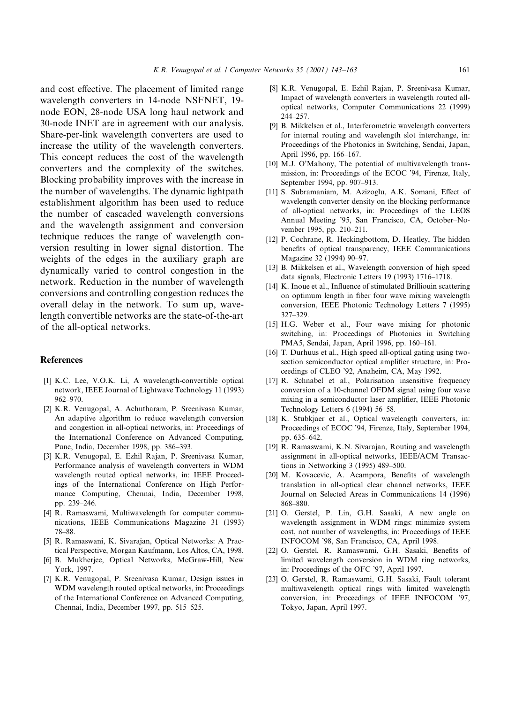and cost effective. The placement of limited range wavelength converters in 14-node NSFNET, 19 node EON, 28-node USA long haul network and 30-node INET are in agreement with our analysis. Share-per-link wavelength converters are used to increase the utility of the wavelength converters. This concept reduces the cost of the wavelength converters and the complexity of the switches. Blocking probability improves with the increase in the number of wavelengths. The dynamic lightpath establishment algorithm has been used to reduce the number of cascaded wavelength conversions and the wavelength assignment and conversion technique reduces the range of wavelength conversion resulting in lower signal distortion. The weights of the edges in the auxiliary graph are dynamically varied to control congestion in the network. Reduction in the number of wavelength conversions and controlling congestion reduces the overall delay in the network. To sum up, wavelength convertible networks are the state-of-the-art of the all-optical networks.

## References

- [1] K.C. Lee, V.O.K. Li, A wavelength-convertible optical network, IEEE Journal of Lightwave Technology 11 (1993) 962±970.
- [2] K.R. Venugopal, A. Achutharam, P. Sreenivasa Kumar, An adaptive algorithm to reduce wavelength conversion and congestion in all-optical networks, in: Proceedings of the International Conference on Advanced Computing, Pune, India, December 1998, pp. 386-393.
- [3] K.R. Venugopal, E. Ezhil Rajan, P. Sreenivasa Kumar, Performance analysis of wavelength converters in WDM wavelength routed optical networks, in: IEEE Proceedings of the International Conference on High Performance Computing, Chennai, India, December 1998, pp. 239-246.
- [4] R. Ramaswami, Multiwavelength for computer communications, IEEE Communications Magazine 31 (1993) 78±88.
- [5] R. Ramaswani, K. Sivarajan, Optical Networks: A Practical Perspective, Morgan Kaufmann, Los Altos, CA, 1998.
- [6] B. Mukherjee, Optical Networks, McGraw-Hill, New York, 1997.
- [7] K.R. Venugopal, P. Sreenivasa Kumar, Design issues in WDM wavelength routed optical networks, in: Proceedings of the International Conference on Advanced Computing, Chennai, India, December 1997, pp. 515-525.
- [8] K.R. Venugopal, E. Ezhil Rajan, P. Sreenivasa Kumar, Impact of wavelength converters in wavelength routed alloptical networks, Computer Communications 22 (1999) 244±257.
- [9] B. Mikkelsen et al., Interferometric wavelength converters for internal routing and wavelength slot interchange, in: Proceedings of the Photonics in Switching, Sendai, Japan, April 1996, pp. 166-167.
- [10] M.J. O'Mahony, The potential of multivavelength transmission, in: Proceedings of the ECOC '94, Firenze, Italy, September 1994, pp. 907-913.
- [11] S. Subramaniam, M. Azizoglu, A.K. Somani, Effect of wavelength converter density on the blocking performance of all-optical networks, in: Proceedings of the LEOS Annual Meeting '95, San Francisco, CA, October-November 1995, pp. 210-211.
- [12] P. Cochrane, R. Heckingbottom, D. Heatley, The hidden benefits of optical transparency, IEEE Communications Magazine 32 (1994) 90-97.
- [13] B. Mikkelsen et al., Wavelength conversion of high speed data signals, Electronic Letters 19 (1993) 1716-1718.
- [14] K. Inoue et al., Influence of stimulated Brilliouin scattering on optimum length in fiber four wave mixing wavelength conversion, IEEE Photonic Technology Letters 7 (1995) 327±329.
- [15] H.G. Weber et al., Four wave mixing for photonic switching, in: Proceedings of Photonics in Switching PMA5, Sendai, Japan, April 1996, pp. 160-161.
- [16] T. Durhuus et al., High speed all-optical gating using twosection semiconductor optical amplifier structure, in: Proceedings of CLEO '92, Anaheim, CA, May 1992.
- [17] R. Schnabel et al., Polarisation insensitive frequency conversion of a 10-channel OFDM signal using four wave mixing in a semiconductor laser amplifier, IEEE Photonic Technology Letters 6 (1994) 56-58.
- [18] K. Stubkjaer et al., Optical wavelength converters, in: Proceedings of ECOC '94, Firenze, Italy, September 1994, pp. 635-642.
- [19] R. Ramaswami, K.N. Sivarajan, Routing and wavelength assignment in all-optical networks, IEEE/ACM Transactions in Networking 3 (1995) 489 $-500$ .
- [20] M. Kovacevic, A. Acampora, Benefits of wavelength translation in all-optical clear channel networks, IEEE Journal on Selected Areas in Communications 14 (1996) 868±880.
- [21] O. Gerstel, P. Lin, G.H. Sasaki, A new angle on wavelength assignment in WDM rings: minimize system cost, not number of wavelengths, in: Proceedings of IEEE INFOCOM '98, San Francisco, CA, April 1998.
- [22] O. Gerstel, R. Ramaswami, G.H. Sasaki, Benefits of limited wavelength conversion in WDM ring networks, in: Proceedings of the OFC '97, April 1997.
- [23] O. Gerstel, R. Ramaswami, G.H. Sasaki, Fault tolerant multiwavelength optical rings with limited wavelength conversion, in: Proceedings of IEEE INFOCOM '97, Tokyo, Japan, April 1997.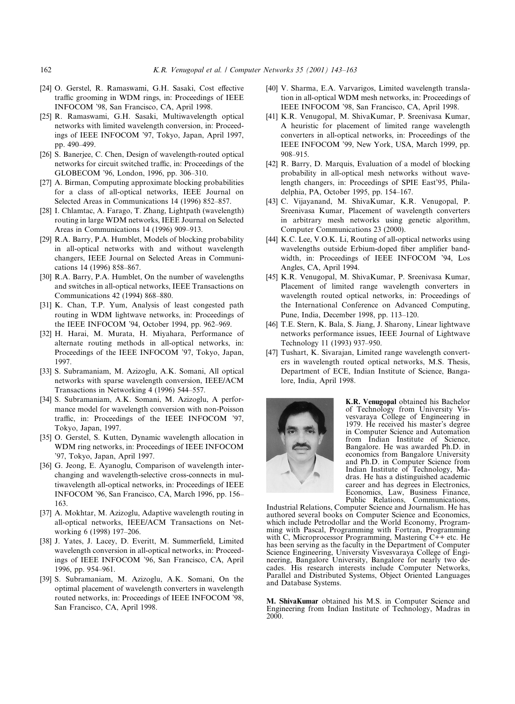- [24] O. Gerstel, R. Ramaswami, G.H. Sasaki, Cost effective traffic grooming in WDM rings, in: Proceedings of IEEE INFOCOM '98, San Francisco, CA, April 1998.
- [25] R. Ramaswami, G.H. Sasaki, Multiwavelength optical networks with limited wavelength conversion, in: Proceedings of IEEE INFOCOM '97, Tokyo, Japan, April 1997, pp. 490-499.
- [26] S. Banerjee, C. Chen, Design of wavelength-routed optical networks for circuit switched traffic, in: Proceedings of the GLOBECOM '96, London, 1996, pp. 306-310.
- [27] A. Birman, Computing approximate blocking probabilities for a class of all-optical networks, IEEE Journal on Selected Areas in Communications 14 (1996) 852-857.
- [28] I. Chlamtac, A. Farago, T. Zhang, Lightpath (wavelength) routing in large WDM networks, IEEE Journal on Selected Areas in Communications 14 (1996) 909-913.
- [29] R.A. Barry, P.A. Humblet, Models of blocking probability in all-optical networks with and without wavelength changers, IEEE Journal on Selected Areas in Communications 14 (1996) 858-867.
- [30] R.A. Barry, P.A. Humblet, On the number of wavelengths and switches in all-optical networks, IEEE Transactions on Communications 42 (1994) 868-880.
- [31] K. Chan, T.P. Yum, Analysis of least congested path routing in WDM lightwave networks, in: Proceedings of the IEEE INFOCOM '94, October 1994, pp. 962-969.
- [32] H. Harai, M. Murata, H. Miyahara, Performance of alternate routing methods in all-optical networks, in: Proceedings of the IEEE INFOCOM '97, Tokyo, Japan, 1997.
- [33] S. Subramaniam, M. Azizoglu, A.K. Somani, All optical networks with sparse wavelength conversion, IEEE/ACM Transactions in Networking 4 (1996) 544-557.
- [34] S. Subramaniam, A.K. Somani, M. Azizoglu, A performance model for wavelength conversion with non-Poisson traffic, in: Proceedings of the IEEE INFOCOM '97, Tokyo, Japan, 1997.
- [35] O. Gerstel, S. Kutten, Dynamic wavelength allocation in WDM ring networks, in: Proceedings of IEEE INFOCOM '97, Tokyo, Japan, April 1997.
- [36] G. Jeong, E. Ayanoglu, Comparison of wavelength interchanging and wavelength-selective cross-connects in multiwavelength all-optical networks, in: Proceedings of IEEE INFOCOM '96, San Francisco, CA, March 1996, pp. 156± 163.
- [37] A. Mokhtar, M. Azizoglu, Adaptive wavelength routing in all-optical networks, IEEE/ACM Transactions on Networking 6 (1998) 197-206.
- [38] J. Yates, J. Lacey, D. Everitt, M. Summerfield, Limited wavelength conversion in all-optical networks, in: Proceedings of IEEE INFOCOM '96, San Francisco, CA, April 1996, pp. 954-961.
- [39] S. Subramaniam, M. Azizoglu, A.K. Somani, On the optimal placement of wavelength converters in wavelength routed networks, in: Proceedings of IEEE INFOCOM '98, San Francisco, CA, April 1998.
- [40] V. Sharma, E.A. Varvarigos, Limited wavelength translation in all-optical WDM mesh networks, in: Proceedings of IEEE INFOCOM '98, San Francisco, CA, April 1998.
- [41] K.R. Venugopal, M. ShivaKumar, P. Sreenivasa Kumar, A heuristic for placement of limited range wavelength converters in all-optical networks, in: Proceedings of the IEEE INFOCOM '99, New York, USA, March 1999, pp. 908±915.
- [42] R. Barry, D. Marquis, Evaluation of a model of blocking probability in all-optical mesh networks without wavelength changers, in: Proceedings of SPIE East'95, Philadelphia, PA, October 1995, pp. 154-167.
- [43] C. Vijayanand, M. ShivaKumar, K.R. Venugopal, P. Sreenivasa Kumar, Placement of wavelength converters in arbitrary mesh networks using genetic algorithm, Computer Communications 23 (2000).
- [44] K.C. Lee, V.O.K. Li, Routing of all-optical networks using wavelengths outside Erbium-doped fiber amplifier bandwidth, in: Proceedings of IEEE INFOCOM '94, Los Angles, CA, April 1994.
- [45] K.R. Venugopal, M. ShivaKumar, P. Sreenivasa Kumar, Placement of limited range wavelength converters in wavelength routed optical networks, in: Proceedings of the International Conference on Advanced Computing, Pune, India, December 1998, pp. 113-120.
- [46] T.E. Stern, K. Bala, S. Jiang, J. Sharony, Linear lightwave networks performance issues, IEEE Journal of Lightwave Technology 11 (1993) 937-950.
- [47] Tushart, K. Sivarajan, Limited range wavelength converters in wavelength routed optical networks, M.S. Thesis, Department of ECE, Indian Institute of Science, Bangalore, India, April 1998.



K.R. Venugopal obtained his Bachelor of Technology from University Vis-vesvaraya College of Engineering in 1979. He received his master's degree in Computer Science and Automation from Indian Institute of Science, Bangalore. He was awarded Ph.D. in economics from Bangalore University and Ph.D. in Computer Science from Indian Institute of Technology, Madras. He has a distinguished academic career and has degrees in Electronics, Economics, Law, Business Finance, Public Relations, Communications,

Industrial Relations, Computer Science and Journalism. He has authored several books on Computer Science and Economics, which include Petrodollar and the World Economy, Programming with Pascal, Programming with Fortran, Programming with C, Microprocessor Programming, Mastering C<sup>++</sup> etc. He has been serving as the faculty in the Department of Computer Science Engineering, University Visvesvaraya College of Engineering, Bangalore University, Bangalore for nearly two decades. His research interests include Computer Networks, Parallel and Distributed Systems, Object Oriented Languages and Database Systems.

M. ShivaKumar obtained his M.S. in Computer Science and Engineering from Indian Institute of Technology, Madras in 2000.